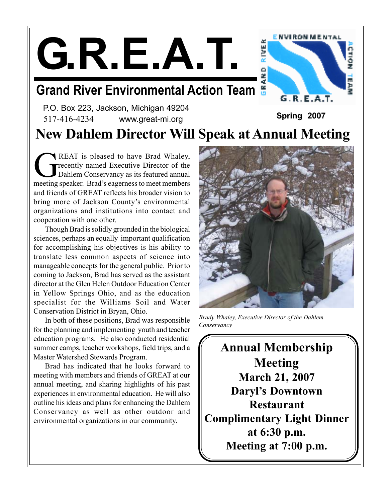**G.R.E.A.T.**

# **Grand River Environmental Action Team**



P.O. Box 223, Jackson, Michigan 49204 517-416-4234 www.great-mi.org **Spring 2007**

# **New Dahlem Director Will Speak at Annual Meeting**

REAT is pleased to have Brad Whaley,<br>
Tecently named Executive Director of the<br>
Dahlem Conservancy as its featured annual<br>
meeting speaker. Brad's executions to meet members recently named Executive Director of the Dahlem Conservancy as its featured annual meeting speaker. Brad's eagerness to meet members and friends of GREAT reflects his broader vision to bring more of Jackson County's environmental organizations and institutions into contact and cooperation with one other.

Though Brad is solidly grounded in the biological sciences, perhaps an equally important qualification for accomplishing his objectives is his ability to translate less common aspects of science into manageable concepts for the general public. Prior to coming to Jackson, Brad has served as the assistant director at the Glen Helen Outdoor Education Center in Yellow Springs Ohio, and as the education specialist for the Williams Soil and Water Conservation District in Bryan, Ohio.

In both of these positions, Brad was responsible for the planning and implementing youth and teacher education programs. He also conducted residential summer camps, teacher workshops, field trips, and a Master Watershed Stewards Program.

Brad has indicated that he looks forward to meeting with members and friends of GREAT at our annual meeting, and sharing highlights of his past experiences in environmental education. He will also outline his ideas and plans for enhancing the Dahlem Conservancy as well as other outdoor and environmental organizations in our community.



*Brady Whaley, Executive Director of the Dahlem Conservancy*

**Annual Membership Meeting March 21, 2007 Daryl's Downtown Restaurant Complimentary Light Dinner at 6:30 p.m. Meeting at 7:00 p.m.**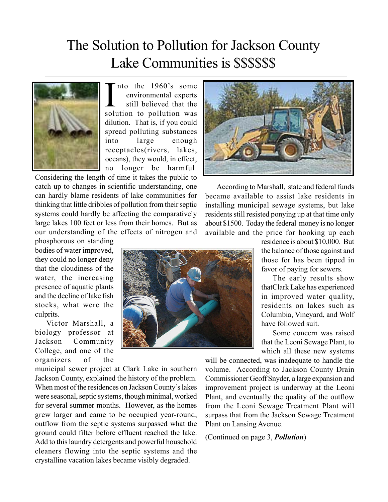## The Solution to Pollution for Jackson County Lake Communities is \$\$\$\$\$\$



The the 1960's some<br>environmental experts<br>still believed that the<br>solution to pollution was nto the 1960's some environmental experts still believed that the dilution. That is, if you could spread polluting substances into large enough receptacles(rivers, lakes, oceans), they would, in effect, no longer be harmful.

Considering the length of time it takes the public to catch up to changes in scientific understanding, one can hardly blame residents of lake communities for thinking that little dribbles of pollution from their septic systems could hardly be affecting the comparatively large lakes 100 feet or less from their homes. But as our understanding of the effects of nitrogen and

phosphorous on standing bodies of water improved, they could no longer deny that the cloudiness of the water, the increasing presence of aquatic plants and the decline of lake fish stocks, what were the culprits.

Victor Marshall, a biology professor at Jackson Community College, and one of the organizers of the

municipal sewer project at Clark Lake in southern Jackson County, explained the history of the problem. When most of the residences on Jackson County's lakes were seasonal, septic systems, though minimal, worked for several summer months. However, as the homes grew larger and came to be occupied year-round, outflow from the septic systems surpassed what the ground could filter before effluent reached the lake. Add to this laundry detergents and powerful household cleaners flowing into the septic systems and the crystalline vacation lakes became visibly degraded.



According to Marshall, state and federal funds became available to assist lake residents in installing municipal sewage systems, but lake residents still resisted ponying up at that time only about \$1500. Today the federal money is no longer available and the price for hooking up each



residence is about \$10,000. But the balance of those against and those for has been tipped in favor of paying for sewers.

The early results show thatClark Lake has experienced in improved water quality, residents on lakes such as Columbia, Vineyard, and Wolf have followed suit.

Some concern was raised that the Leoni Sewage Plant, to which all these new systems

will be connected, was inadequate to handle the volume. According to Jackson County Drain Commissioner Geoff Snyder, a large expansion and improvement project is underway at the Leoni Plant, and eventually the quality of the outflow from the Leoni Sewage Treatment Plant will surpass that from the Jackson Sewage Treatment Plant on Lansing Avenue.

(Continued on page 3, *Pollution*)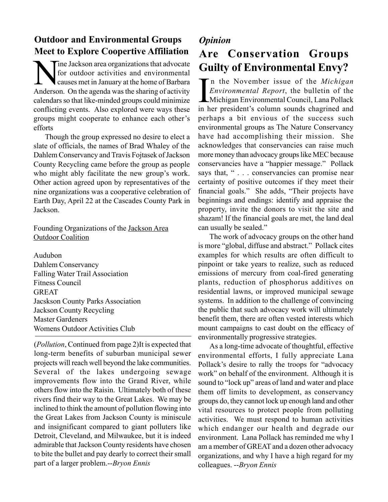#### **Outdoor and Environmental Groups Meet to Explore Coopertive Affiliation**

The Jackson area organizations that advocate<br>for outdoor activities and environmental<br>causes met in January at the home of Barbara for outdoor activities and environmental causes met in January at the home of Barbara Anderson. On the agenda was the sharing of activity calendars so that like-minded groups could minimize conflicting events. Also explored were ways these groups might cooperate to enhance each other's efforts

Though the group expressed no desire to elect a slate of officials, the names of Brad Whaley of the Dahlem Conservancy and Travis Fojtasek of Jackson County Recycling came before the group as people who might ably facilitate the new group's work. Other action agreed upon by representatives of the nine organizations was a cooperative celebration of Earth Day, April 22 at the Cascades County Park in Jackson.

Founding Organizations of the Jackson Area Outdoor Coalition

Audubon Dahlem Conservancy Falling Water Trail Association Fitness Council GREAT Jacskson County Parks Association Jackson County Recycling Master Gardeners Womens Outdoor Activities Club

(*Pollution*, Continued from page 2)It is expected that long-term benefits of suburban municipal sewer projects will reach well beyond the lake communities. Several of the lakes undergoing sewage improvements flow into the Grand River, while others flow into the Raisin. Ultimately both of these rivers find their way to the Great Lakes. We may be inclined to think the amount of pollution flowing into the Great Lakes from Jackson County is miniscule and insignificant compared to giant polluters like Detroit, Cleveland, and Milwaukee, but it is indeed admirable that Jackson County residents have chosen to bite the bullet and pay dearly to correct their small part of a larger problem.--*Bryon Ennis*

# *Opinion*

### **Are Conservation Groups Guilty of Environmental Envy?**

In the November issue of the *Michigan*<br>Environmental Report, the bulletin of the<br>Michigan Environmental Council, Lana Pollack<br>in her president's column sounds chaorined and *Environmental Report*, the bulletin of the Michigan Environmental Council, Lana Pollack in her president's column sounds chagrined and perhaps a bit envious of the success such environmental groups as The Nature Conservancy have had accomplishing their mission. She acknowledges that conservancies can raise much more money than advocacy groups like MEC because conservancies have a "happier message." Pollack says that, "... conservancies can promise near certainty of positive outcomes if they meet their financial goals." She adds, "Their projects have beginnings and endings: identify and appraise the property, invite the donors to visit the site and shazam! If the financial goals are met, the land deal can usually be sealed."

The work of advocacy groups on the other hand is more "global, diffuse and abstract." Pollack cites examples for which results are often difficult to pinpoint or take years to realize, such as reduced emissions of mercury from coal-fired generating plants, reduction of phosphorus additives on residential lawns, or improved municipal sewage systems. In addition to the challenge of convincing the public that such advocacy work will ultimately benefit them, there are often vested interests which mount campaigns to cast doubt on the efficacy of environmentally progressive strategies.

As a long-time advocate of thoughtful, effective environmental efforts, I fully appreciate Lana Pollack's desire to rally the troops for "advocacy work" on behalf of the environment. Although it is sound to "lock up" areas of land and water and place them off limits to development, as conservancy groups do, they cannot lock up enough land and other vital resources to protect people from polluting activities. We must respond to human activities which endanger our health and degrade our environment. Lana Pollack has reminded me why I am a member of GREAT and a dozen other advocacy organizations, and why I have a high regard for my colleagues. --*Bryon Ennis*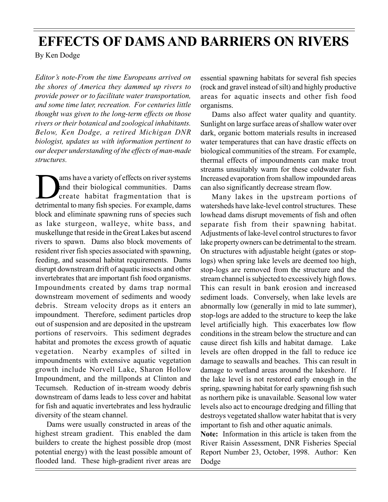## **EFFECTS OF DAMS AND BARRIERS ON RIVERS**

By Ken Dodge

*Editor's note-From the time Europeans arrived on the shores of America they dammed up rivers to provide power or to facilitate water transportation, and some time later, recreation. For centuries little thought was given to the long-term effects on those rivers or their botanical and zoological inhabitants. Below, Ken Dodge, a retired Michigan DNR biologist, updates us with information pertinent to our deeper understanding of the effects of man-made structures.*

ams have a variety of effects on river systems<br>and their biological communities. Dams<br>create habitat fragmentation that is<br>detrimental to many fish species. For example dams and their biological communities. Dams create habitat fragmentation that is detrimental to many fish species. For example, dams block and eliminate spawning runs of species such as lake sturgeon, walleye, white bass, and muskellunge that reside in the Great Lakes but ascend rivers to spawn. Dams also block movements of resident river fish species associated with spawning, feeding, and seasonal habitat requirements. Dams disrupt downstream drift of aquatic insects and other invertebrates that are important fish food organisms. Impoundments created by dams trap normal downstream movement of sediments and woody debris. Stream velocity drops as it enters an impoundment. Therefore, sediment particles drop out of suspension and are deposited in the upstream portions of reservoirs. This sediment degrades habitat and promotes the excess growth of aquatic vegetation. Nearby examples of silted in impoundments with extensive aquatic vegetation growth include Norvell Lake, Sharon Hollow Impoundment, and the millponds at Clinton and Tecumseh. Reduction of in-stream woody debris downstream of dams leads to less cover and habitat for fish and aquatic invertebrates and less hydraulic diversity of the steam channel.

Dams were usually constructed in areas of the highest stream gradient. This enabled the dam builders to create the highest possible drop (most potential energy) with the least possible amount of flooded land. These high-gradient river areas are

essential spawning habitats for several fish species (rock and gravel instead of silt) and highly productive areas for aquatic insects and other fish food organisms.

Dams also affect water quality and quantity. Sunlight on large surface areas of shallow water over dark, organic bottom materials results in increased water temperatures that can have drastic effects on biological communities of the stream. For example, thermal effects of impoundments can make trout streams unsuitably warm for these coldwater fish. Increased evaporation from shallow impounded areas can also significantly decrease stream flow.

Many lakes in the upstream portions of watersheds have lake-level control structures. These lowhead dams disrupt movements of fish and often separate fish from their spawning habitat. Adjustments of lake-level control structures to favor lake property owners can be detrimental to the stream. On structures with adjustable height (gates or stoplogs) when spring lake levels are deemed too high, stop-logs are removed from the structure and the stream channel is subjected to excessively high flows. This can result in bank erosion and increased sediment loads. Conversely, when lake levels are abnormally low (generally in mid to late summer), stop-logs are added to the structure to keep the lake level artificially high. This exacerbates low flow conditions in the stream below the structure and can cause direct fish kills and habitat damage. Lake levels are often dropped in the fall to reduce ice damage to seawalls and beaches. This can result in damage to wetland areas around the lakeshore. If the lake level is not restored early enough in the spring, spawning habitat for early spawning fish such as northern pike is unavailable. Seasonal low water levels also act to encourage dredging and filling that destroys vegetated shallow water habitat that is very important to fish and other aquatic animals.

**Note:** Information in this article is taken from the River Raisin Assessment, DNR Fisheries Special Report Number 23, October, 1998. Author: Ken Dodge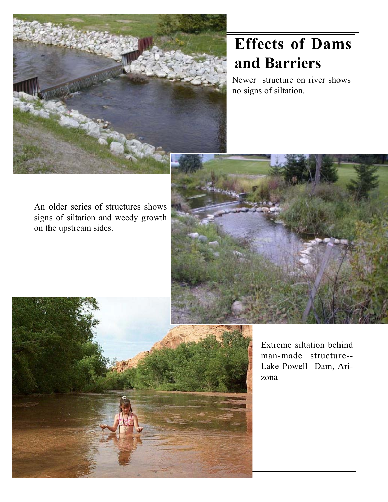

# **Effects of Dams and Barriers**

Newer structure on river shows no signs of siltation.

An older series of structures shows signs of siltation and weedy growth on the upstream sides.





Extreme siltation behind man-made structure-- Lake Powell Dam, Arizona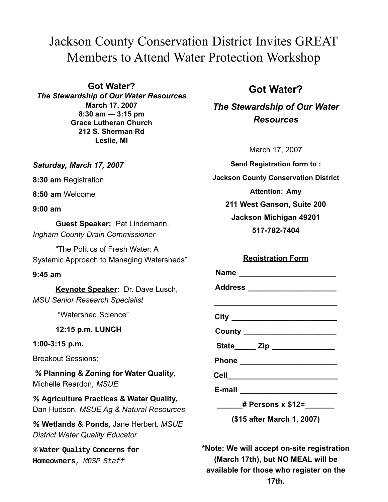### Jackson County Conservation District Invites GREAT Members to Attend Water Protection Workshop

**Got Water?** *The Stewardship of Our Water Resources* **March 17, 2007 8:30 am — 3:15 pm Grace Lutheran Church 212 S. Sherman Rd Leslie, MI**

#### *Saturday, March 17, 2007*

**8:30 am** Registration

**8:50 am** Welcome

**9:00 am**

**Guest Speaker:** Pat Lindemann, *Ingham County Drain Commissioner*

"The Politics of Fresh Water: A Systemic Approach to Managing Watersheds"

#### **9:45 am**

**Keynote Speaker:** Dr. Dave Lusch, *MSU Senior Research Specialist*

"Watershed Science"

**12:15 p.m. LUNCH**

**1:00-3:15 p.m.**

Breakout Sessions:

 *%* **Planning & Zoning for Water Qualit***y,* Michelle Reardon*, MSUE*

*%* **Agriculture Practices & Water Quality***,* Dan Hudson, *MSUE Ag & Natural Resources*

*%* **Wetlands & Ponds***,* Jane Herbert*, MSUE District Water Quality Educator*

% **Water Quality Concerns for Homeowners**, MGSP Staff

#### **Got Water?**

*The Stewardship of Our Water Resources*

March 17, 2007

**Send Registration form to : Jackson County Conservation District Attention: Amy 211 West Ganson, Suite 200 Jackson Michigan 49201 517-782-7404**

#### **Registration Form**

| Name _________________________      |
|-------------------------------------|
| Address ______________________      |
|                                     |
| City ______________________________ |
|                                     |
|                                     |
|                                     |
| Cell______________________________  |
|                                     |
| _______# Persons x \$12=______      |
| (\$15 after March 1, 2007)          |
|                                     |

**\*Note: We will accept on-site registration (March 17th), but NO MEAL will be available for those who register on the 17th.**